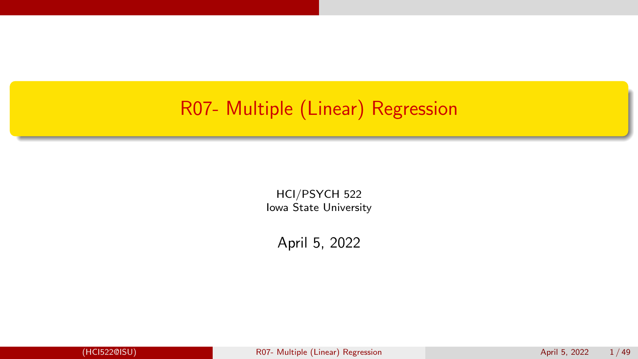## <span id="page-0-0"></span>R07- Multiple (Linear) Regression

HCI/PSYCH 522 Iowa State University

April 5, 2022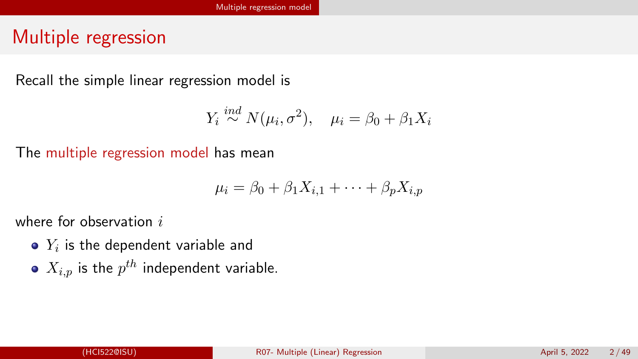## <span id="page-1-0"></span>Multiple regression

Recall the simple linear regression model is

$$
Y_i \stackrel{ind}{\sim} N(\mu_i, \sigma^2), \quad \mu_i = \beta_0 + \beta_1 X_i
$$

The multiple regression model has mean

$$
\mu_i = \beta_0 + \beta_1 X_{i,1} + \dots + \beta_p X_{i,p}
$$

where for observation  $i$ 

- $Y_i$  is the dependent variable and
- $X_{i,p}$  is the  $p^{th}$  independent variable.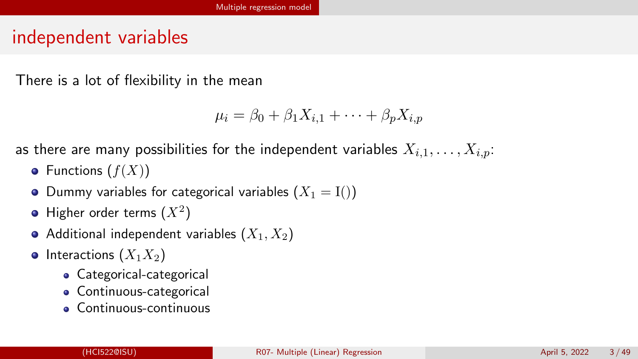## independent variables

There is a lot of flexibility in the mean

$$
\mu_i = \beta_0 + \beta_1 X_{i,1} + \dots + \beta_p X_{i,p}
$$

as there are many possibilities for the independent variables  $X_{i,1}, \ldots, X_{i,p}$ :

- Functions  $(f(X))$
- Dummy variables for categorical variables  $(X_1 = I))$
- Higher order terms  $(X^2)$
- Additional independent variables  $(X_1, X_2)$
- Interactions  $(X_1X_2)$ 
	- Categorical-categorical
	- **Continuous-categorical**
	- Continuous-continuous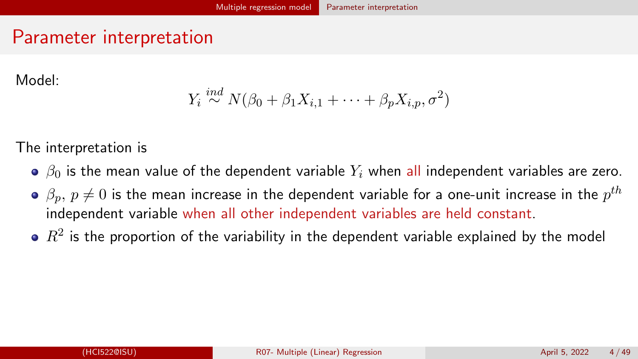## <span id="page-3-0"></span>Parameter interpretation

Model:

$$
Y_i \stackrel{ind}{\sim} N(\beta_0 + \beta_1 X_{i,1} + \cdots + \beta_p X_{i,p}, \sigma^2)
$$

The interpretation is

- $\theta$   $\beta$ <sub>0</sub> is the mean value of the dependent variable  $Y_i$  when all independent variables are zero.
- $\beta_p,\, p\neq 0$  is the mean increase in the dependent variable for a one-unit increase in the  $p^{th}$ independent variable when all other independent variables are held constant.
- $\mathbb{R}^2$  is the proportion of the variability in the dependent variable explained by the model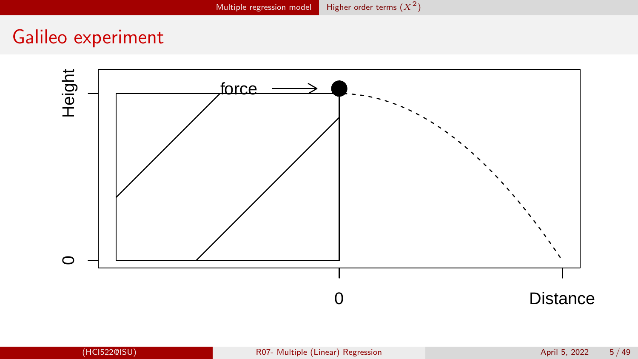## <span id="page-4-0"></span>Galileo experiment

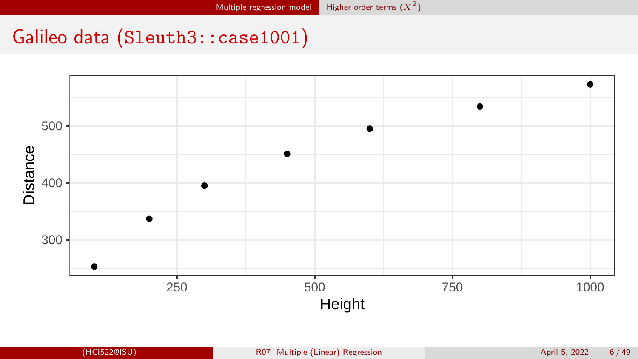## Galileo data (Sleuth3::case1001)

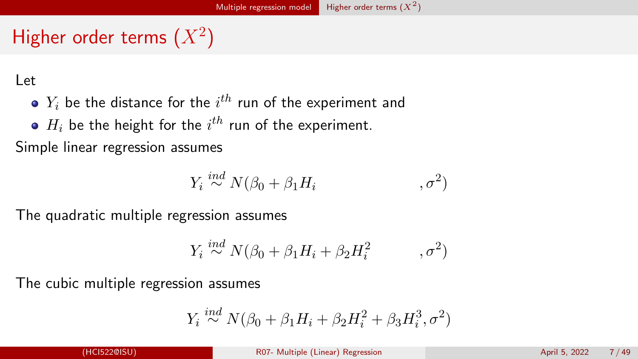# Higher order terms  $(X^2)$

Let

- $Y_i$  be the distance for the  $i^{th}$  run of the experiment and
- $H_i$  be the height for the  $i^{th}$  run of the experiment.

Simple linear regression assumes

$$
Y_i \stackrel{ind}{\sim} N(\beta_0 + \beta_1 H_i, \qquad \qquad , \sigma^2)
$$

The quadratic multiple regression assumes

$$
Y_i \stackrel{ind}{\sim} N(\beta_0 + \beta_1 H_i + \beta_2 H_i^2, \qquad , \sigma^2)
$$

The cubic multiple regression assumes

$$
Y_i \stackrel{ind}{\sim} N(\beta_0 + \beta_1 H_i + \beta_2 H_i^2 + \beta_3 H_i^3, \sigma^2)
$$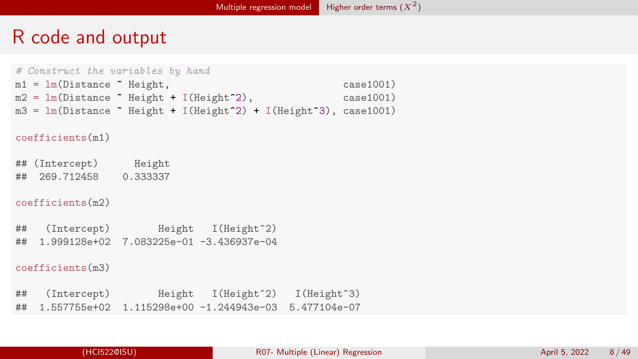## R code and output

```
# Construct the variables by hand
m1 = \text{lm(Distance}^{\circ} \text{Height}, case1001)<br>
m2 = \text{lm(Distance}^{\circ} \text{Height} + \text{I(Height}^{\circ}2). case1001)
m2 = Im(Distance \text{``Height + I(Height 2)},m3 = lm(Distance "Height + I(Height 2) + I(Height 3), case1001)coefficients(m1)
## (Intercept) Height
## 269.712458 0.333337
coefficients(m2)
## (Intercept) Height I(Height^2)
## 1.999128e+02 7.083225e-01 -3.436937e-04
coefficients(m3)
## (Intercept) Height I(Height^2) I(Height^3)
## 1.557755e+02 1.115298e+00 -1.244943e-03 5.477104e-07
```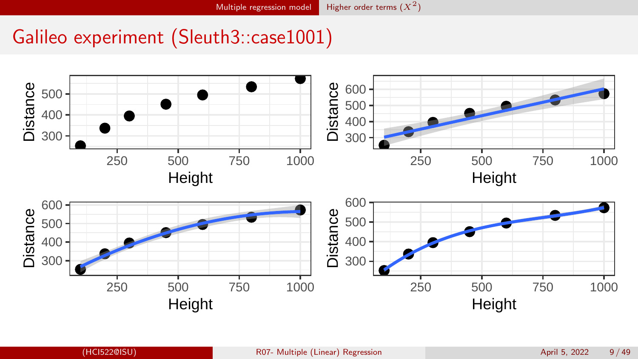## Galileo experiment (Sleuth3::case1001)

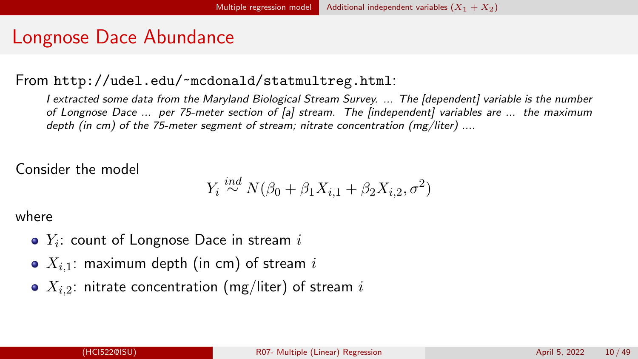## <span id="page-9-0"></span>Longnose Dace Abundance

#### From <http://udel.edu/~mcdonald/statmultreg.html>:

I extracted some data from the Maryland Biological Stream Survey. ... The [dependent] variable is the number of Longnose Dace ... per 75-meter section of [a] stream. The [independent] variables are ... the maximum depth (in cm) of the 75-meter segment of stream; nitrate concentration  $(mg/liter)$  ....

#### Consider the model

$$
Y_i \stackrel{ind}{\sim} N(\beta_0 + \beta_1 X_{i,1} + \beta_2 X_{i,2}, \sigma^2)
$$

where

- $Y_i$ : count of Longnose Dace in stream  $i$
- $\bullet$   $X_{i,1}$ : maximum depth (in cm) of stream i
- $\bullet$   $X_{i,2}$ : nitrate concentration (mg/liter) of stream i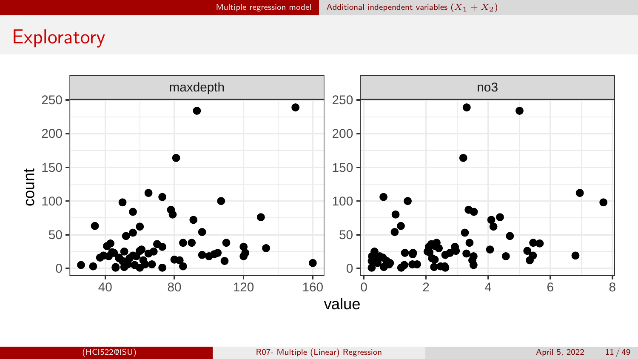## **Exploratory**

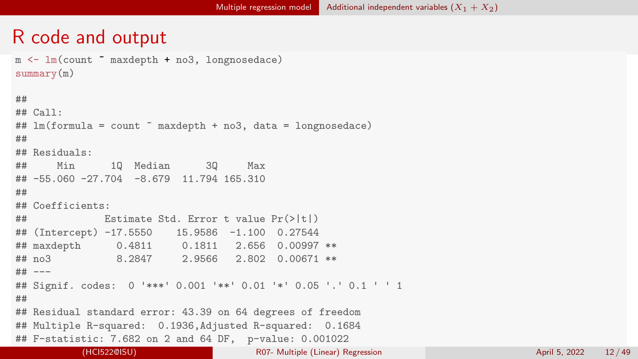## R code and output

```
m \leftarrow \text{lm}(count \text{maxdepth + } n \cdot 3, \text{longnosedace})summary(m)
##
## Call\cdot## lm(formula = count maxdepth + no3, data = longnosedace)
##
## Residuals:
## Min 1Q Median 3Q Max
## -55.060 -27.704 -8.679 11.794 165.310
##
## Coefficients:
## Estimate Std. Error t value Pr(>|t|)
## (Intercept) -17.5550 15.9586 -1.100 0.27544
## maxdepth 0.4811 0.1811 2.656 0.00997 **
## no3 8.2847 2.9566 2.802 0.00671 **
## ---
## Signif. codes: 0 '***' 0.001 '**' 0.01 '*' 0.05 '.' 0.1 ' ' 1
##
## Residual standard error: 43.39 on 64 degrees of freedom
## Multiple R-squared: 0.1936,Adjusted R-squared: 0.1684
## F-statistic: 7.682 on 2 and 64 DF, p-value: 0.001022
          (HCI522@ISU) R07- Multiple (Linear) Regression April 5, 2022 12 / 49
```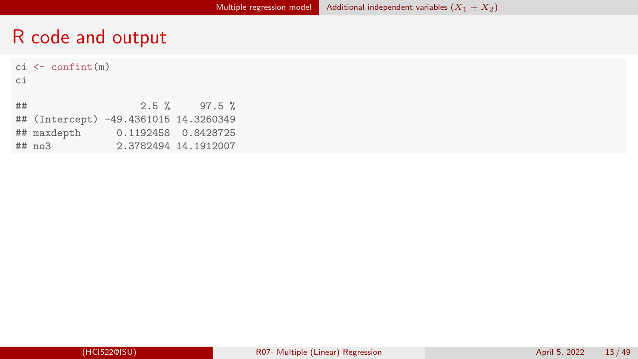## R code and output

|    | $ci \leftarrow \text{confint}(m)$ |                                       |                      |
|----|-----------------------------------|---------------------------------------|----------------------|
| сi |                                   |                                       |                      |
|    |                                   |                                       |                      |
| ## |                                   |                                       | $2.5 \%$ 97.5 %      |
|    |                                   | ## (Intercept) -49.4361015 14.3260349 |                      |
|    | ## maxdepth                       |                                       | 0.1192458 0.8428725  |
|    | $## \text{ no.3}$                 |                                       | 2.3782494 14.1912007 |
|    |                                   |                                       |                      |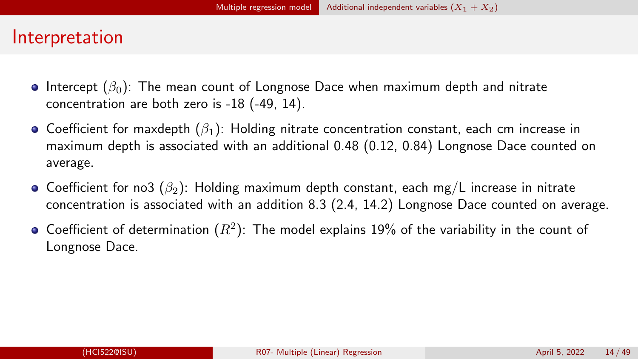## Interpretation

- **Intercept** ( $\beta_0$ ): The mean count of Longnose Dace when maximum depth and nitrate concentration are both zero is -18 (-49, 14).
- **•** Coefficient for maxdepth  $(\beta_1)$ : Holding nitrate concentration constant, each cm increase in maximum depth is associated with an additional 0.48 (0.12, 0.84) Longnose Dace counted on average.
- Coefficient for no3 ( $\beta_2$ ): Holding maximum depth constant, each mg/L increase in nitrate concentration is associated with an addition 8.3 (2.4, 14.2) Longnose Dace counted on average.
- Coefficient of determination  $(R^2)$ : The model explains 19% of the variability in the count of Longnose Dace.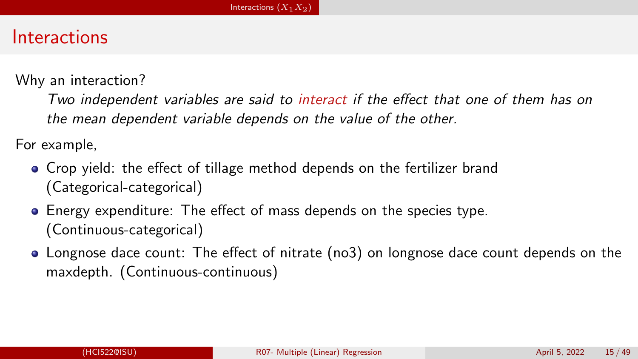## <span id="page-14-0"></span>Interactions

Why an interaction?

Two independent variables are said to interact if the effect that one of them has on the mean dependent variable depends on the value of the other.

For example,

- Crop yield: the effect of tillage method depends on the fertilizer brand (Categorical-categorical)
- Energy expenditure: The effect of mass depends on the species type. (Continuous-categorical)
- Longnose dace count: The effect of nitrate (no3) on longnose dace count depends on the maxdepth. (Continuous-continuous)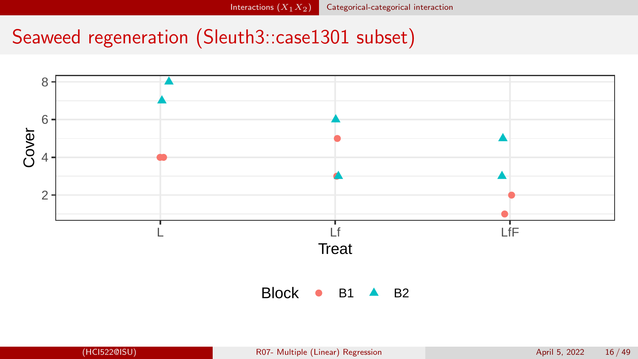# <span id="page-15-0"></span>Seaweed regeneration (Sleuth3::case1301 subset)

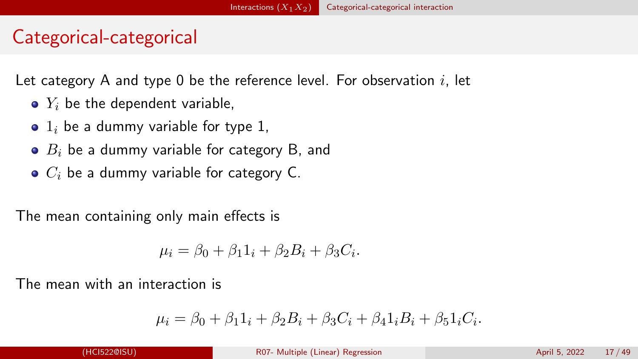## Categorical-categorical

Let category A and type 0 be the reference level. For observation  $i$ , let

- $\bullet$   $Y_i$  be the dependent variable,
- $\bullet$  1<sub>i</sub> be a dummy variable for type 1,
- $\bullet$   $B_i$  be a dummy variable for category B, and
- $\bullet$   $C_i$  be a dummy variable for category C.

The mean containing only main effects is

$$
\mu_i = \beta_0 + \beta_1 1_i + \beta_2 B_i + \beta_3 C_i.
$$

The mean with an interaction is

$$
\mu_i = \beta_0 + \beta_1 1_i + \beta_2 B_i + \beta_3 C_i + \beta_4 1_i B_i + \beta_5 1_i C_i.
$$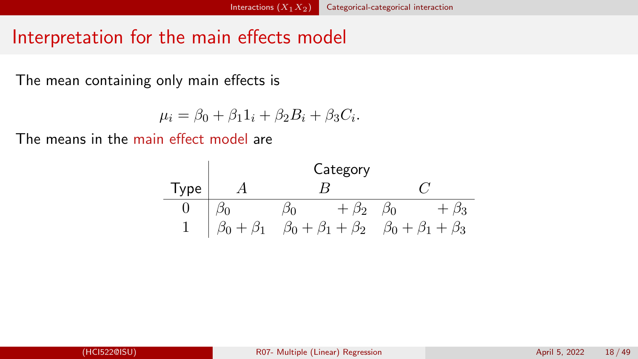## Interpretation for the main effects model

The mean containing only main effects is

$$
\mu_i = \beta_0 + \beta_1 1_i + \beta_2 B_i + \beta_3 C_i.
$$

The means in the main effect model are

| Type | A                   | Category                      |                               |           |            |
|------|---------------------|-------------------------------|-------------------------------|-----------|------------|
| 0    | $\beta_0$           | $\beta_0$                     | $+\beta_2$                    | $\beta_0$ | $+\beta_3$ |
| 1    | $\beta_0 + \beta_1$ | $\beta_0 + \beta_1 + \beta_2$ | $\beta_0 + \beta_1 + \beta_3$ |           |            |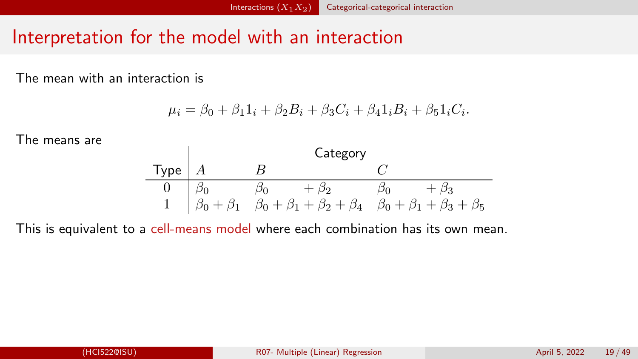## Interpretation for the model with an interaction

The mean with an interaction is

$$
\mu_i = \beta_0 + \beta_1 1_i + \beta_2 B_i + \beta_3 C_i + \beta_4 1_i B_i + \beta_5 1_i C_i.
$$

The means are



This is equivalent to a cell-means model where each combination has its own mean.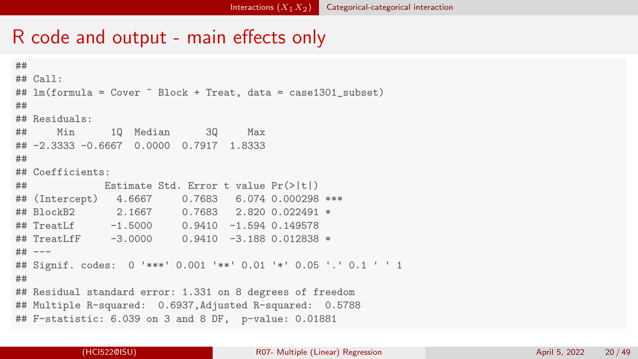#### R code and output - main effects only

```
##
## Call:
## lm(formula = Cover ~ Block + Treat, data = case1301_subset)
##
## Residuals:
## Min 1Q Median 3Q Max
## -2.3333 -0.6667 0.0000 0.7917 1.8333
##
## Coefficients:
## Estimate Std. Error t value Pr(>|t|)
## (Intercept) 4.6667 0.7683 6.074 0.000298 ***
## BlockB2 2.1667 0.7683 2.820 0.022491 *
## TreatLf -1.5000 0.9410 -1.594 0.149578
## TreatLfF -3.0000 0.9410 -3.188 0.012838 *
## ---
## Signif. codes: 0 '***' 0.001 '**' 0.01 '*' 0.05 '.' 0.1 ' ' 1
##
## Residual standard error: 1.331 on 8 degrees of freedom
## Multiple R-squared: 0.6937,Adjusted R-squared: 0.5788
## F-statistic: 6.039 on 3 and 8 DF, p-value: 0.01881
```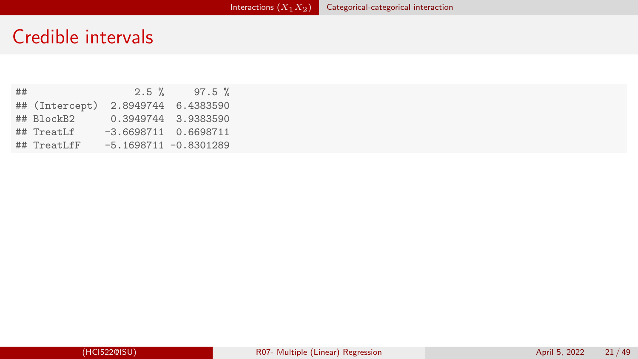## Credible intervals

| ## |                | $2.5 \%$                 | $97.5 \%$           |
|----|----------------|--------------------------|---------------------|
|    | ## (Intercept) |                          | 2.8949744 6.4383590 |
|    | ## BlockB2     |                          | 0.3949744 3.9383590 |
|    | ## TreatLf     | $-3.6698711$ 0.6698711   |                     |
|    | ## TreatLfF    | $-5.1698711 - 0.8301289$ |                     |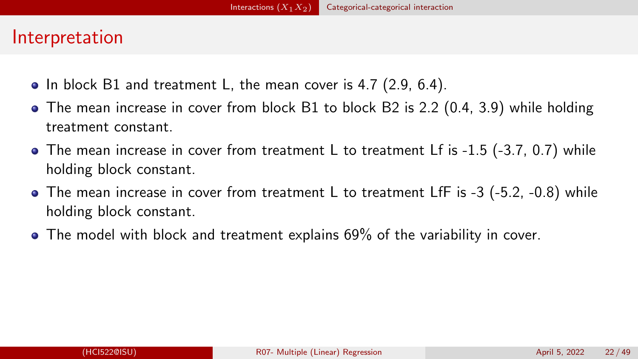## Interpretation

- $\bullet$  In block B1 and treatment L, the mean cover is 4.7 (2.9, 6.4).
- The mean increase in cover from block B1 to block B2 is 2.2 (0.4, 3.9) while holding treatment constant.
- The mean increase in cover from treatment L to treatment Lf is -1.5 (-3.7, 0.7) while holding block constant.
- The mean increase in cover from treatment L to treatment LfF is -3 (-5.2, -0.8) while holding block constant.
- The model with block and treatment explains 69% of the variability in cover.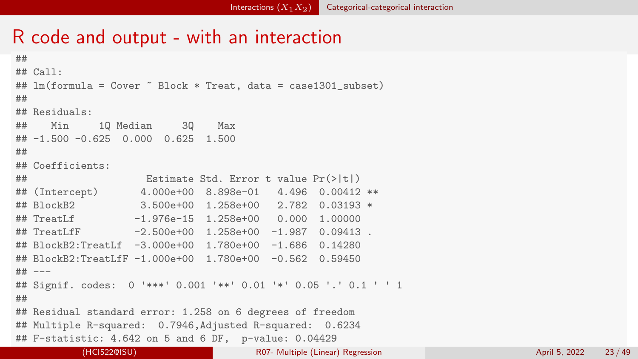## R code and output - with an interaction

```
##
## Call\cdot## lm(formula = Cover " Block * Treat, data = case1301_subset)
##
## Residuals:
## Min 1Q Median 3Q Max
## -1.500 -0.625 0.000 0.625 1.500
##
## Coefficients:
## Estimate Std. Error t value Pr(>|t|)
## (Intercept) 4.000e+00 8.898e-01 4.496 0.00412 **
               3.500e+00 1.258e+00 2.782 0.03193 *
## TreatLf -1.976e-15 1.258e+00 0.000 1.00000
\## TreatLfF -2.500e+00 1.258e+00 -1.987 0.09413
## BlockB2:TreatLf -3.000e+00 1.780e+00 -1.686 0.14280
## BlockB2:TreatLfF -1.000e+00 1.780e+00 -0.562 0.59450
## ---
## Signif. codes: 0 '***' 0.001 '**' 0.01 '*' 0.05 '.' 0.1 ' ' 1
##
## Residual standard error: 1.258 on 6 degrees of freedom
## Multiple R-squared: 0.7946,Adjusted R-squared: 0.6234
## F-statistic: 4.642 on 5 and 6 DF, p-value: 0.04429
```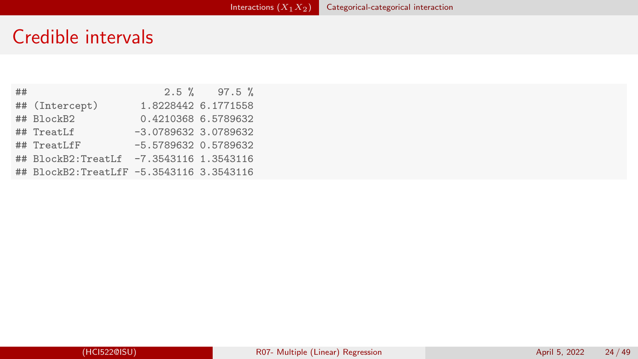## Credible intervals

| ## |                                          |                        | $2.5 \%$ 97.5 %     |
|----|------------------------------------------|------------------------|---------------------|
|    | ## (Intercept)                           |                        | 1.8228442 6.1771558 |
|    | ## BlockB2                               |                        | 0.4210368 6.5789632 |
|    | ## TreatLf                               | $-3.0789632$ 3.0789632 |                     |
|    | ## TreatLfF                              | $-5.5789632$ 0.5789632 |                     |
|    | ## BlockB2:TreatLf -7.3543116 1.3543116  |                        |                     |
|    | ## BlockB2:TreatLfF -5.3543116 3.3543116 |                        |                     |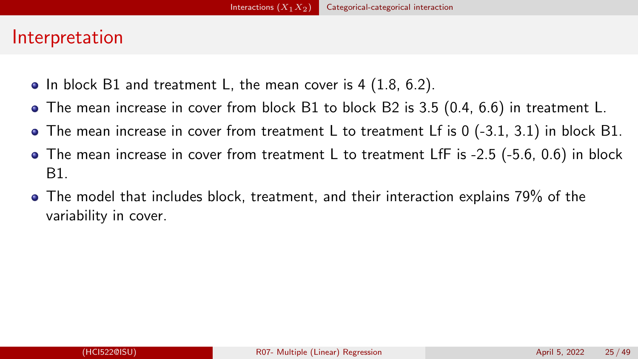### Interpretation

- $\bullet$  In block B1 and treatment L, the mean cover is 4 (1.8, 6.2).
- The mean increase in cover from block B1 to block B2 is 3.5 (0.4, 6.6) in treatment L.
- The mean increase in cover from treatment L to treatment Lf is 0 (-3.1, 3.1) in block B1.
- $\bullet$  The mean increase in cover from treatment L to treatment LfF is -2.5 (-5.6, 0.6) in block B1.
- The model that includes block, treatment, and their interaction explains 79% of the variability in cover.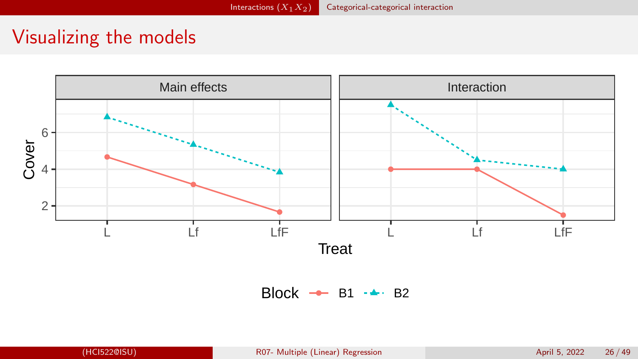## Visualizing the models

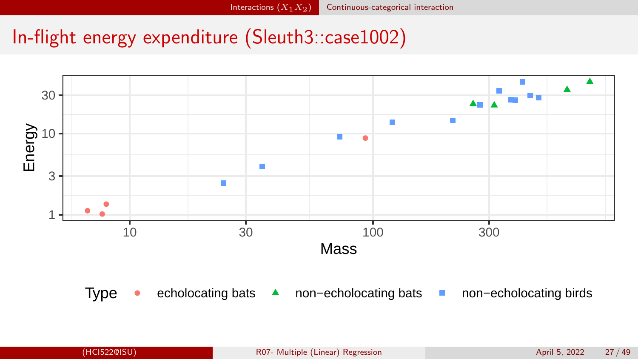# <span id="page-26-0"></span>In-flight energy expenditure (Sleuth3::case1002)

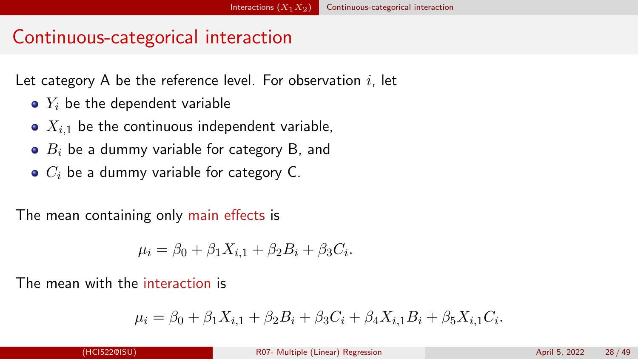## Continuous-categorical interaction

Let category A be the reference level. For observation  $i$ , let

- $\bullet$   $Y_i$  be the dependent variable
- $\bullet$   $X_{i,1}$  be the continuous independent variable,
- $\bullet$   $B_i$  be a dummy variable for category B, and
- $\bullet$   $C_i$  be a dummy variable for category C.

The mean containing only main effects is

$$
\mu_i = \beta_0 + \beta_1 X_{i,1} + \beta_2 B_i + \beta_3 C_i.
$$

The mean with the interaction is

$$
\mu_i = \beta_0 + \beta_1 X_{i,1} + \beta_2 B_i + \beta_3 C_i + \beta_4 X_{i,1} B_i + \beta_5 X_{i,1} C_i.
$$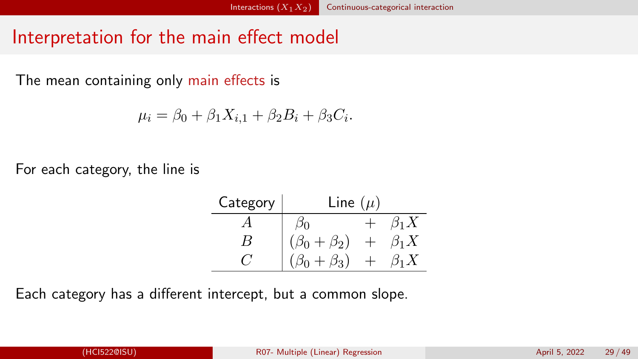## Interpretation for the main effect model

The mean containing only main effects is

$$
\mu_i = \beta_0 + \beta_1 X_{i,1} + \beta_2 B_i + \beta_3 C_i.
$$

For each category, the line is

| Category | Line $(\mu)$          |             |
|----------|-----------------------|-------------|
|          |                       | $\beta_1 X$ |
| В        | $(\beta_0 + \beta_2)$ | $\beta_1 X$ |
| C /      | $\beta_0 + \beta_3$   | $\beta_1 X$ |

Each category has a different intercept, but a common slope.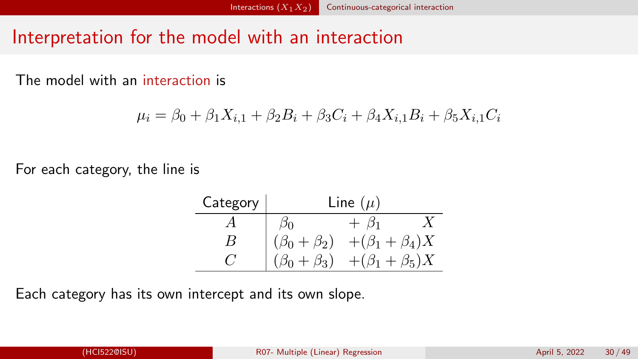## Interpretation for the model with an interaction

The model with an interaction is

$$
\mu_i = \beta_0 + \beta_1 X_{i,1} + \beta_2 B_i + \beta_3 C_i + \beta_4 X_{i,1} B_i + \beta_5 X_{i,1} C_i
$$

For each category, the line is

| Category   |                       | Line $(\mu)$                                   |
|------------|-----------------------|------------------------------------------------|
|            |                       | $+ \beta_1$                                    |
| R          |                       | $(\beta_0 + \beta_2)$ + $(\beta_1 + \beta_4)X$ |
| $\epsilon$ | $(\beta_0 + \beta_3)$ | $+(\beta_1+\beta_5)X$                          |

Each category has its own intercept and its own slope.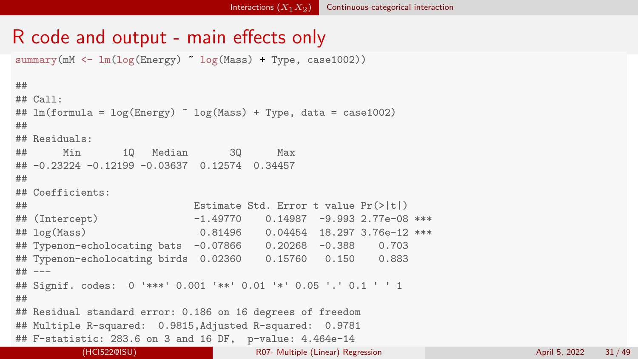## R code and output - main effects only

summary(mM  $\leftarrow \ln(\log(\text{Energy}) - \log(\text{Mass}) + \text{Type}, \text{case1002}))$ 

```
##
## C = 71## lm(formula = log(Energy) \sim log(Mass) + Type, data = case1002)
##
## Residuals:
## Min 1Q Median 3Q Max
## -0.23224 -0.12199 -0.03637 0.12574 0.34457
##
## Coefficients:
## Estimate Std. Error t value Pr(>|t|)
## (Intercept) -1.49770 0.14987 -9.993 2.77e-08 ***
## log(Mass) 0.81496 0.04454 18.297 3.76e-12 ***
## Typenon-echolocating bats -0.07866 0.20268 -0.388 0.703
## Typenon-echolocating birds 0.02360 0.15760 0.150 0.883
## ---
## Signif. codes: 0 '***' 0.001 '**' 0.01 '*' 0.05 '.' 0.1 ' ' 1
##
## Residual standard error: 0.186 on 16 degrees of freedom
## Multiple R-squared: 0.9815,Adjusted R-squared: 0.9781
## F-statistic: 283.6 on 3 and 16 DF, p-value: 4.464e-14
         (HCI522@ISU) R07- Multiple (Linear) Regression April 5, 2022 31 / 49
```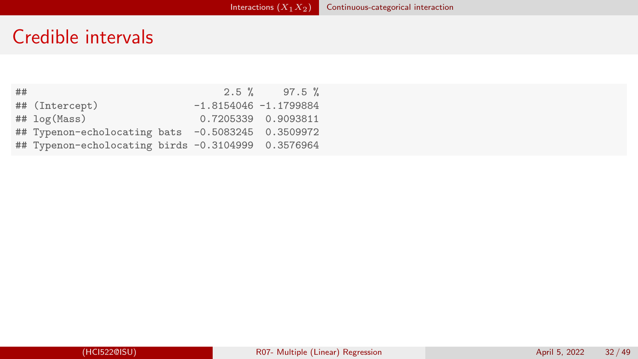## Credible intervals

| ## |                                                    |                         | $2.5 \%$ 97.5 %     |
|----|----------------------------------------------------|-------------------------|---------------------|
|    | ## (Intercept)                                     | $-1.8154046 -1.1799884$ |                     |
|    | $## \log(Mass)$                                    |                         | 0.7205339 0.9093811 |
|    | ## Typenon-echolocating bats -0.5083245 0.3509972  |                         |                     |
|    | ## Typenon-echolocating birds -0.3104999 0.3576964 |                         |                     |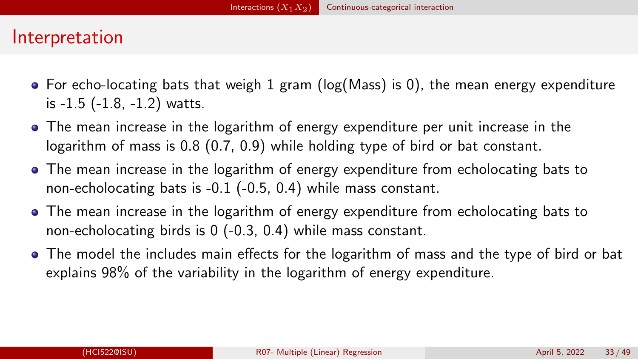## Interpretation

- $\bullet$  For echo-locating bats that weigh 1 gram (log(Mass) is 0), the mean energy expenditure is -1.5 (-1.8, -1.2) watts.
- The mean increase in the logarithm of energy expenditure per unit increase in the logarithm of mass is 0.8 (0.7, 0.9) while holding type of bird or bat constant.
- The mean increase in the logarithm of energy expenditure from echolocating bats to non-echolocating bats is -0.1 (-0.5, 0.4) while mass constant.
- The mean increase in the logarithm of energy expenditure from echolocating bats to non-echolocating birds is 0 (-0.3, 0.4) while mass constant.
- The model the includes main effects for the logarithm of mass and the type of bird or bat explains 98% of the variability in the logarithm of energy expenditure.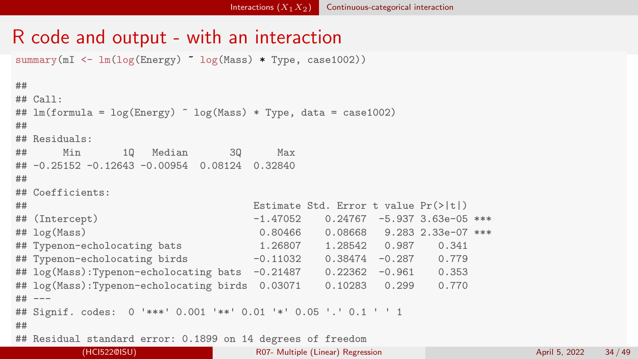## R code and output - with an interaction

summary(mI  $\leftarrow$  lm(log(Energy)  $\sim$  log(Mass)  $*$  Type, case1002))

```
##
## C = 71## lm(formula = log(Energy) \sim log(Mass) * Type, data = case1002)
##
## Residuals:
## Min 1Q Median 3Q Max
## -0.25152 -0.12643 -0.00954 0.08124 0.32840
##
## Coefficients:
## Estimate Std. Error t value Pr(>|t|)
## (Intercept) -1.47052 0.24767 -5.937 3.63e-05 ***
## log(Mass) 0.80466 0.08668 9.283 2.33e-07 ***
## Typenon-echolocating bats 1.26807 1.28542 0.987 0.341
## Typenon-echolocating birds -0.11032 0.38474 -0.287 0.779
## log(Mass):Typenon-echolocating bats -0.21487 0.22362 -0.961 0.353
## log(Mass):Typenon-echolocating birds 0.03071 0.10283 0.299 0.770
## ---
## Signif. codes: 0 '***' 0.001 '**' 0.01 '*' 0.05 '.' 0.1 ' ' 1
##
## Residual standard error: 0.1899 on 14 degrees of freedom
## Multiple R-squared: 0.9832,Adjusted R-squared: 0.9771
(HCI522@ISU) R07- Multiple (Linear) Regression April 5, 2022 34 / 49
```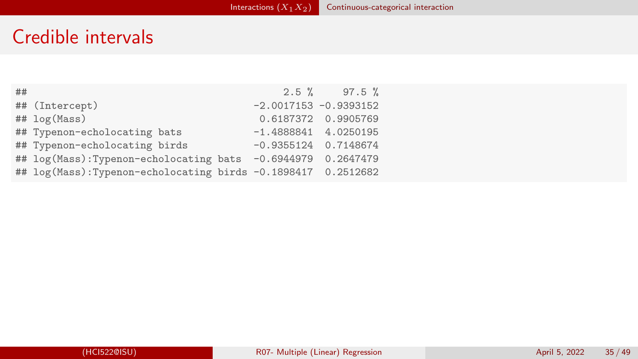## Credible intervals

| ## |                                                              | $2.5 \%$ 97.5 %          |
|----|--------------------------------------------------------------|--------------------------|
|    | ## (Intercept)                                               | $-2.0017153 - 0.9393152$ |
|    | ## log(Mass)                                                 | 0.6187372 0.9905769      |
|    | ## Typenon-echolocating bats                                 | $-1.4888841$ 4.0250195   |
|    | ## Typenon-echolocating birds                                | $-0.9355124$ 0.7148674   |
|    | ## log(Mass):Typenon-echolocating bats -0.6944979 0.2647479  |                          |
|    | ## log(Mass):Typenon-echolocating birds -0.1898417 0.2512682 |                          |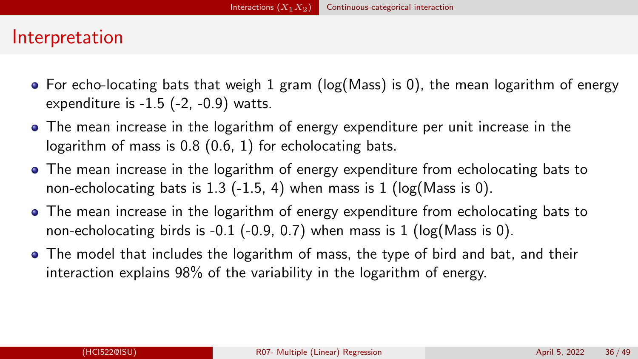#### Interpretation

- $\bullet$  For echo-locating bats that weigh 1 gram (log(Mass) is 0), the mean logarithm of energy expenditure is  $-1.5$  ( $-2$ ,  $-0.9$ ) watts.
- The mean increase in the logarithm of energy expenditure per unit increase in the logarithm of mass is 0.8 (0.6, 1) for echolocating bats.
- The mean increase in the logarithm of energy expenditure from echolocating bats to non-echolocating bats is 1.3 (-1.5, 4) when mass is 1 ( $log(Mass$  is 0).
- The mean increase in the logarithm of energy expenditure from echolocating bats to non-echolocating birds is  $-0.1$  ( $-0.9$ ,  $0.7$ ) when mass is 1 ( $log(Mass$  is 0).
- The model that includes the logarithm of mass, the type of bird and bat, and their interaction explains 98% of the variability in the logarithm of energy.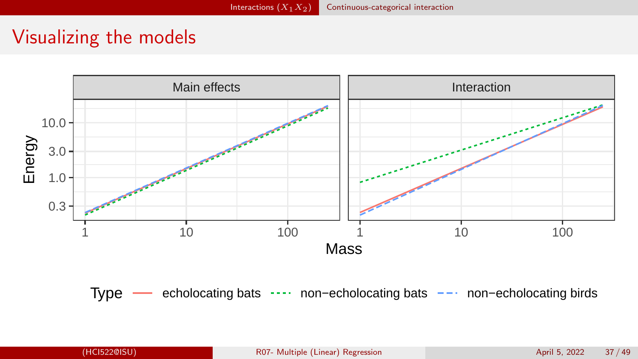## Visualizing the models



Type — echolocating bats --- non−echolocating bats -- non–echolocating birds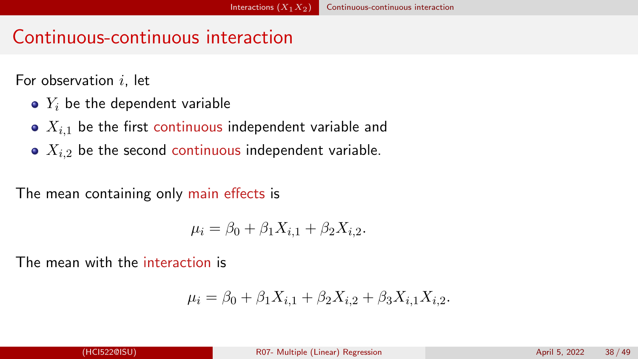## <span id="page-37-0"></span>Continuous-continuous interaction

For observation  $i$ , let

- $\bullet$   $Y_i$  be the dependent variable
- $\bullet$   $X_{i,1}$  be the first continuous independent variable and
- $\bullet$   $X_{i,2}$  be the second continuous independent variable.

The mean containing only main effects is

$$
\mu_i = \beta_0 + \beta_1 X_{i,1} + \beta_2 X_{i,2}.
$$

The mean with the interaction is

$$
\mu_i = \beta_0 + \beta_1 X_{i,1} + \beta_2 X_{i,2} + \beta_3 X_{i,1} X_{i,2}.
$$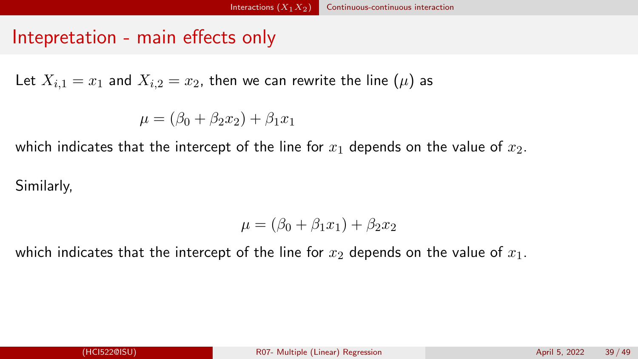## Intepretation - main effects only

Let  $X_{i,1} = x_1$  and  $X_{i,2} = x_2$ , then we can rewrite the line  $(\mu)$  as

 $\mu = (\beta_0 + \beta_2 x_2) + \beta_1 x_1$ 

which indicates that the intercept of the line for  $x_1$  depends on the value of  $x_2$ .

Similarly,

$$
\mu = (\beta_0 + \beta_1 x_1) + \beta_2 x_2
$$

which indicates that the intercept of the line for  $x_2$  depends on the value of  $x_1$ .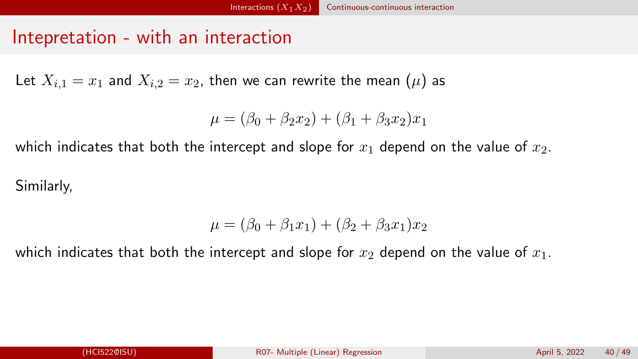## Intepretation - with an interaction

Let  $X_{i,1} = x_1$  and  $X_{i,2} = x_2$ , then we can rewrite the mean  $(\mu)$  as

$$
\mu = (\beta_0 + \beta_2 x_2) + (\beta_1 + \beta_3 x_2)x_1
$$

which indicates that both the intercept and slope for  $x_1$  depend on the value of  $x_2$ .

Similarly,

$$
\mu = (\beta_0 + \beta_1 x_1) + (\beta_2 + \beta_3 x_1) x_2
$$

which indicates that both the intercept and slope for  $x_2$  depend on the value of  $x_1$ .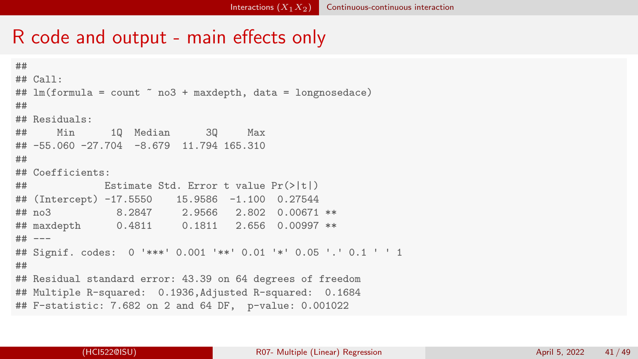## R code and output - main effects only

```
##
## Call:
\## lm(formula = count \infty no3 + maxdepth, data = longnosedace)
##
## Residuals:
## Min 1Q Median 3Q Max
## -55.060 -27.704 -8.679 11.794 165.310
##
## Coefficients:
## Estimate Std. Error t value Pr(>|t|)
## (Intercept) -17.5550 15.9586 -1.100 0.27544
## no3 8.2847 2.9566 2.802 0.00671 **
## maxdepth 0.4811 0.1811 2.656 0.00997 **
## ---
## Signif. codes: 0 '***' 0.001 '**' 0.01 '*' 0.05 '.' 0.1 ' ' 1
##
## Residual standard error: 43.39 on 64 degrees of freedom
## Multiple R-squared: 0.1936,Adjusted R-squared: 0.1684
## F-statistic: 7.682 on 2 and 64 DF, p-value: 0.001022
```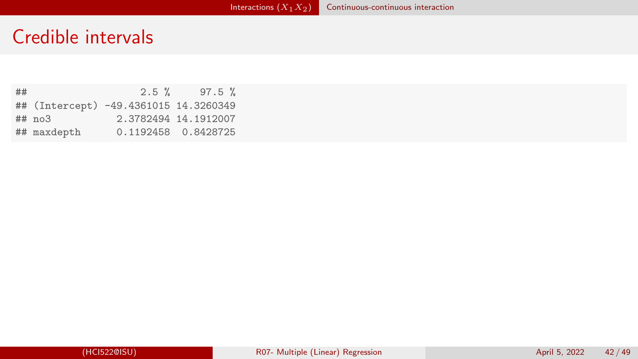### Credible intervals

## 2.5 % 97.5 % ## (Intercept) -49.4361015 14.3260349 2.3782494 14.1912007 ## maxdepth 0.1192458 0.8428725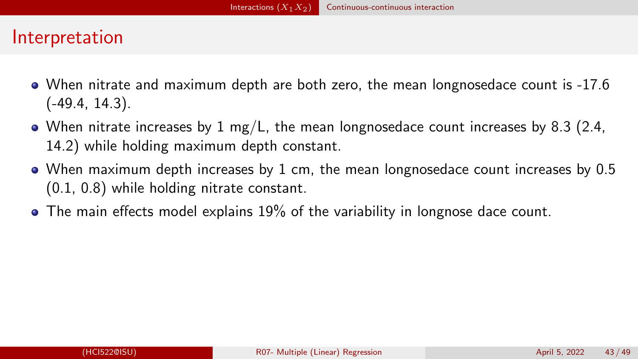## Interpretation

- When nitrate and maximum depth are both zero, the mean longnosedace count is -17.6 (-49.4, 14.3).
- When nitrate increases by 1 mg/L, the mean longnosedace count increases by 8.3 (2.4, 14.2) while holding maximum depth constant.
- When maximum depth increases by 1 cm, the mean longnosedace count increases by 0.5 (0.1, 0.8) while holding nitrate constant.
- The main effects model explains 19% of the variability in longnose dace count.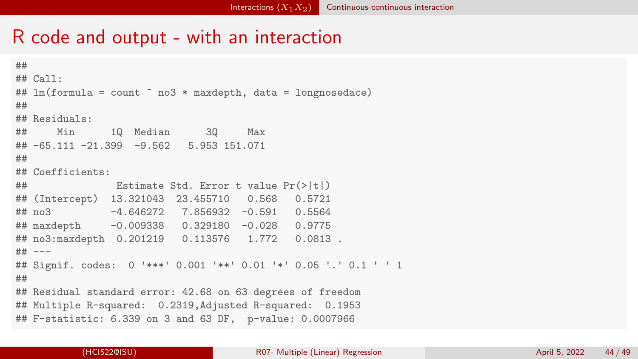#### R code and output - with an interaction

```
##
## Call\cdot## lm(formula = count " no3 * maxdepth, data = longnosedace)
##
## Residuals:
## Min 1Q Median 3Q Max
## -65.111 -21.399 -9.562 5.953 151.071
##
## Coefficients:
## Estimate Std. Error t value Pr(>|t|)
## (Intercept) 13.321043 23.455710 0.568 0.5721
## no3 -4.646272 7.856932 -0.591 0.5564
## maxdepth -0.009338 0.329180 -0.028 0.9775
## no3:maxdepth 0.201219 0.113576 1.772 0.0813 .
## ---
## Signif. codes: 0 '***' 0.001 '**' 0.01 '*' 0.05 '.' 0.1 ' ' 1
##
## Residual standard error: 42.68 on 63 degrees of freedom
## Multiple R-squared: 0.2319,Adjusted R-squared: 0.1953
## F-statistic: 6.339 on 3 and 63 DF, p-value: 0.0007966
```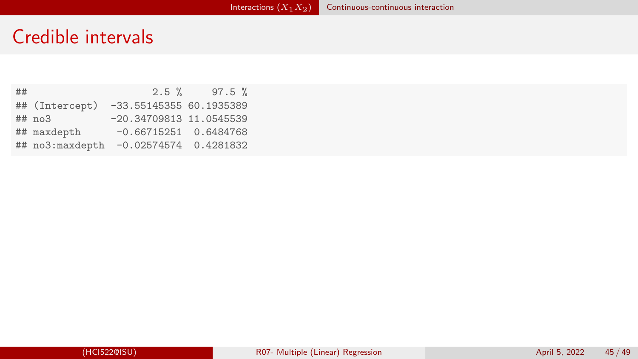## Credible intervals

| ## |                 | $2.5 \%$                  | $97.5 \%$ |
|----|-----------------|---------------------------|-----------|
|    | ## (Intercept)  | $-33.5514535560.1935389$  |           |
|    | ## no3          | $-20.34709813$ 11.0545539 |           |
|    | ## maxdepth     | $-0.66715251$ 0.6484768   |           |
|    | ## no3:maxdepth | $-0.02574574$ 0.4281832   |           |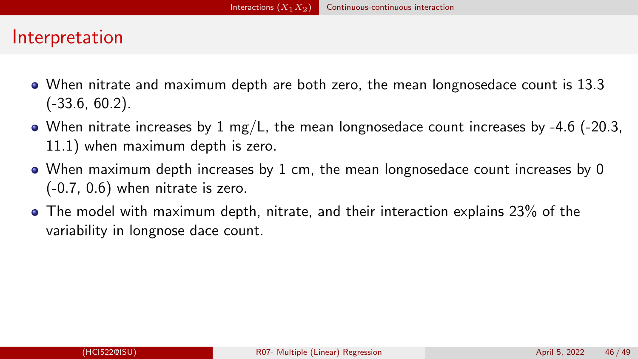## Interpretation

- When nitrate and maximum depth are both zero, the mean longnosedace count is 13.3 (-33.6, 60.2).
- When nitrate increases by 1 mg/L, the mean longnosedace count increases by -4.6 (-20.3, 11.1) when maximum depth is zero.
- When maximum depth increases by 1 cm, the mean longnosedace count increases by 0 (-0.7, 0.6) when nitrate is zero.
- The model with maximum depth, nitrate, and their interaction explains 23% of the variability in longnose dace count.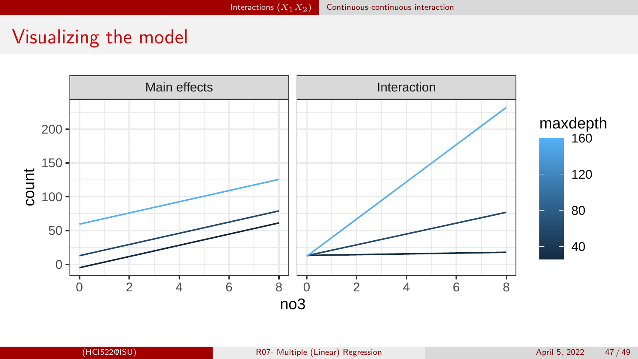## Visualizing the model

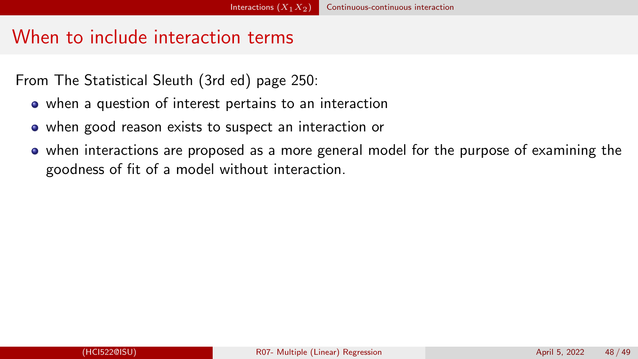## When to include interaction terms

From The Statistical Sleuth (3rd ed) page 250:

- when a question of interest pertains to an interaction
- when good reason exists to suspect an interaction or
- when interactions are proposed as a more general model for the purpose of examining the goodness of fit of a model without interaction.